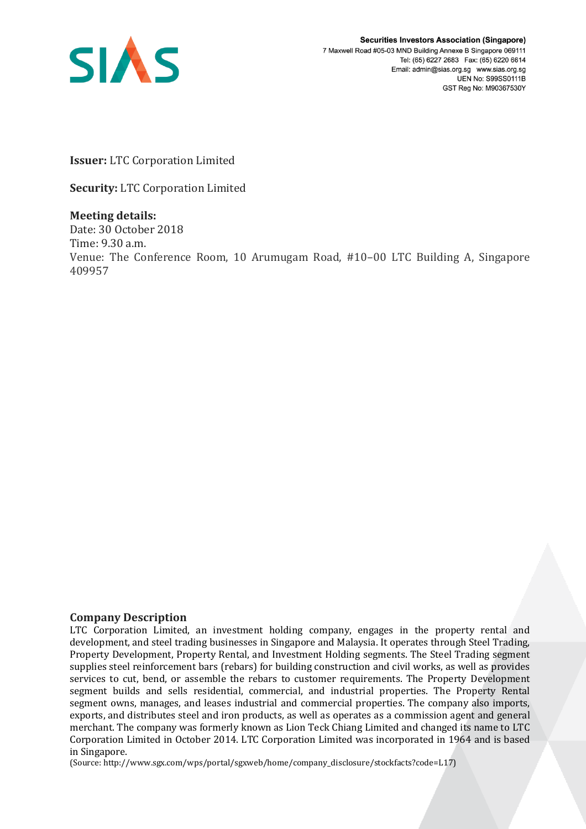

**Securities Investors Association (Singapore)** 7 Maxwell Road #05-03 MND Building Annexe B Singapore 069111 Tel: (65) 6227 2683 Fax: (65) 6220 6614 Email: admin@sias.org.sg www.sias.org.sg **UEN No: S99SS0111B** GST Reg No: M90367530Y

**Issuer:** LTC Corporation Limited

**Security:** LTC Corporation Limited

**Meeting details:**  Date: 30 October 2018 Time: 9.30 a.m. Venue: The Conference Room, 10 Arumugam Road, #10–00 LTC Building A, Singapore 409957

## **Company Description**

LTC Corporation Limited, an investment holding company, engages in the property rental and development, and steel trading businesses in Singapore and Malaysia. It operates through Steel Trading, Property Development, Property Rental, and Investment Holding segments. The Steel Trading segment supplies steel reinforcement bars (rebars) for building construction and civil works, as well as provides services to cut, bend, or assemble the rebars to customer requirements. The Property Development segment builds and sells residential, commercial, and industrial properties. The Property Rental segment owns, manages, and leases industrial and commercial properties. The company also imports, exports, and distributes steel and iron products, as well as operates as a commission agent and general merchant. The company was formerly known as Lion Teck Chiang Limited and changed its name to LTC Corporation Limited in October 2014. LTC Corporation Limited was incorporated in 1964 and is based in Singapore.

(Source: http://www.sgx.com/wps/portal/sgxweb/home/company\_disclosure/stockfacts?code=L17)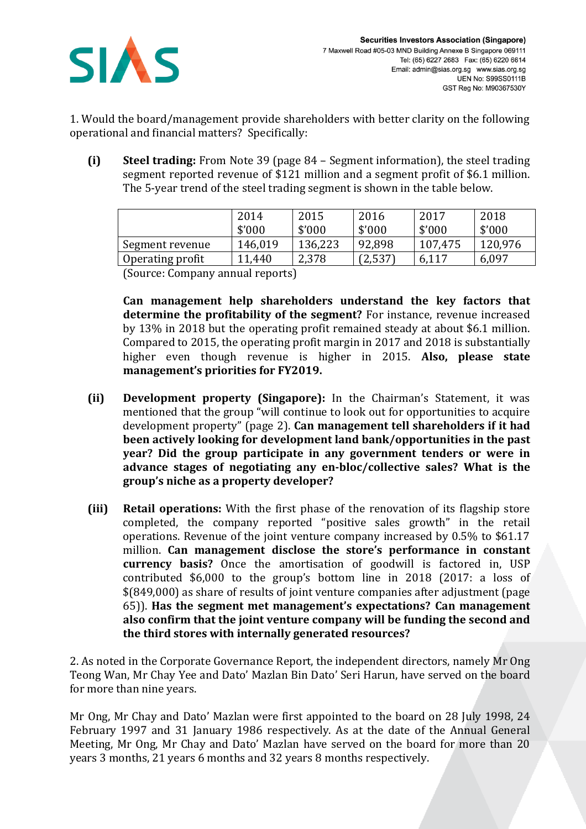

1. Would the board/management provide shareholders with better clarity on the following operational and financial matters? Specifically:

**(i) Steel trading:** From Note 39 (page 84 – Segment information), the steel trading segment reported revenue of \$121 million and a segment profit of \$6.1 million. The 5-year trend of the steel trading segment is shown in the table below.

|                  | 2014<br>\$'000 | 2015<br>\$'000 | 2016<br>\$'000 | 2017<br>\$'000 | 2018<br>\$'000 |
|------------------|----------------|----------------|----------------|----------------|----------------|
| Segment revenue  | 146,019        | 136,223        | 92,898         | 107,475        | 120,976        |
| Operating profit | 11,440         | 2,378          | (2,537)        | 6,117          | 6,097          |

(Source: Company annual reports)

**Can management help shareholders understand the key factors that determine the profitability of the segment?** For instance, revenue increased by 13% in 2018 but the operating profit remained steady at about \$6.1 million. Compared to 2015, the operating profit margin in 2017 and 2018 is substantially higher even though revenue is higher in 2015. **Also, please state management's priorities for FY2019.**

- **(ii) Development property (Singapore):** In the Chairman's Statement, it was mentioned that the group "will continue to look out for opportunities to acquire development property" (page 2). **Can management tell shareholders if it had been actively looking for development land bank/opportunities in the past year? Did the group participate in any government tenders or were in advance stages of negotiating any en-bloc/collective sales? What is the group's niche as a property developer?**
- **(iii) Retail operations:** With the first phase of the renovation of its flagship store completed, the company reported "positive sales growth" in the retail operations. Revenue of the joint venture company increased by 0.5% to \$61.17 million. **Can management disclose the store's performance in constant currency basis?** Once the amortisation of goodwill is factored in, USP contributed \$6,000 to the group's bottom line in 2018 (2017: a loss of \$(849,000) as share of results of joint venture companies after adjustment (page 65)). **Has the segment met management's expectations? Can management also confirm that the joint venture company will be funding the second and the third stores with internally generated resources?**

2. As noted in the Corporate Governance Report, the independent directors, namely Mr Ong Teong Wan, Mr Chay Yee and Dato' Mazlan Bin Dato' Seri Harun, have served on the board for more than nine years.

Mr Ong, Mr Chay and Dato' Mazlan were first appointed to the board on 28 July 1998, 24 February 1997 and 31 January 1986 respectively. As at the date of the Annual General Meeting, Mr Ong, Mr Chay and Dato' Mazlan have served on the board for more than 20 years 3 months, 21 years 6 months and 32 years 8 months respectively.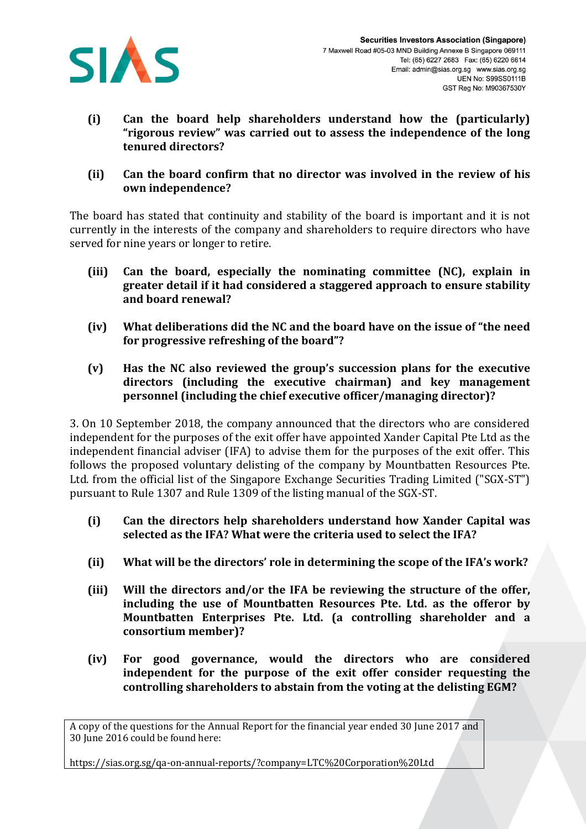

- **(i) Can the board help shareholders understand how the (particularly) "rigorous review" was carried out to assess the independence of the long tenured directors?**
- **(ii) Can the board confirm that no director was involved in the review of his own independence?**

The board has stated that continuity and stability of the board is important and it is not currently in the interests of the company and shareholders to require directors who have served for nine years or longer to retire.

- **(iii) Can the board, especially the nominating committee (NC), explain in greater detail if it had considered a staggered approach to ensure stability and board renewal?**
- **(iv) What deliberations did the NC and the board have on the issue of "the need for progressive refreshing of the board"?**
- **(v) Has the NC also reviewed the group's succession plans for the executive directors (including the executive chairman) and key management personnel (including the chief executive officer/managing director)?**

3. On 10 September 2018, the company announced that the directors who are considered independent for the purposes of the exit offer have appointed Xander Capital Pte Ltd as the independent financial adviser (IFA) to advise them for the purposes of the exit offer. This follows the proposed voluntary delisting of the company by Mountbatten Resources Pte. Ltd. from the official list of the Singapore Exchange Securities Trading Limited ("SGX-ST") pursuant to Rule 1307 and Rule 1309 of the listing manual of the SGX-ST.

- **(i) Can the directors help shareholders understand how Xander Capital was selected as the IFA? What were the criteria used to select the IFA?**
- **(ii) What will be the directors' role in determining the scope of the IFA's work?**
- **(iii) Will the directors and/or the IFA be reviewing the structure of the offer, including the use of Mountbatten Resources Pte. Ltd. as the offeror by Mountbatten Enterprises Pte. Ltd. (a controlling shareholder and a consortium member)?**
- **(iv) For good governance, would the directors who are considered independent for the purpose of the exit offer consider requesting the controlling shareholders to abstain from the voting at the delisting EGM?**

A copy of the questions for the Annual Report for the financial year ended 30 June 2017 and 30 June 2016 could be found here:

https://sias.org.sg/qa-on-annual-reports/?company=LTC%20Corporation%20Ltd